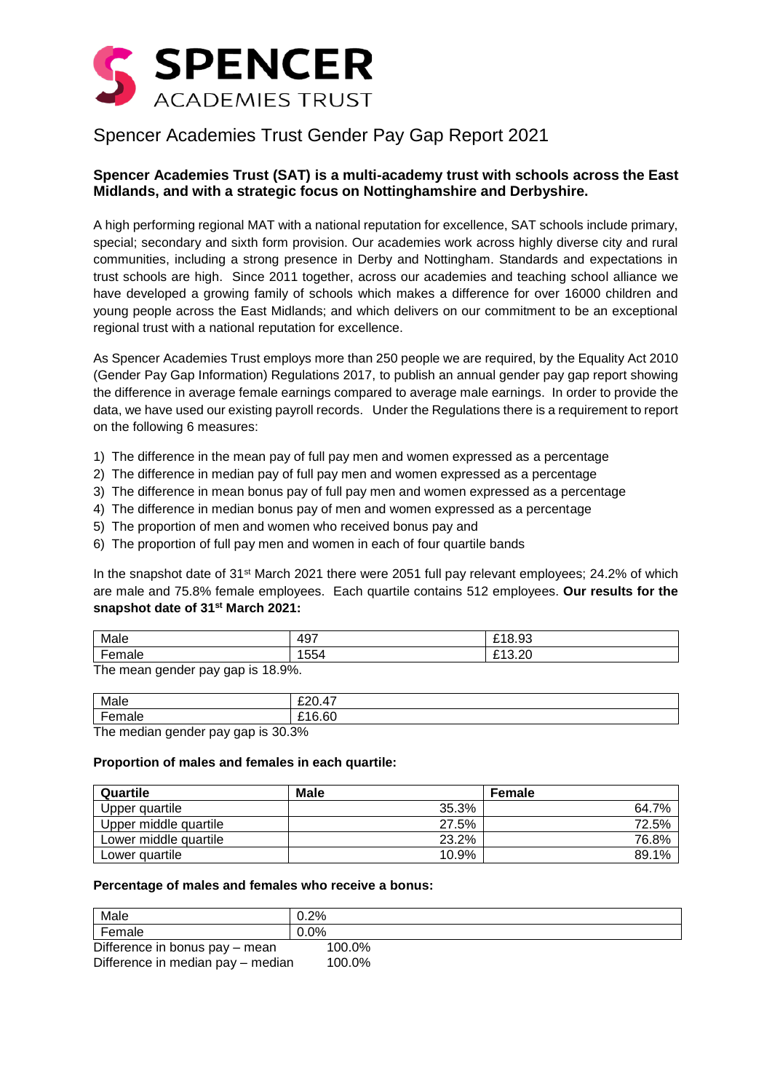

# Spencer Academies Trust Gender Pay Gap Report 2021

## **Spencer Academies Trust (SAT) is a multi-academy trust with schools across the East Midlands, and with a strategic focus on Nottinghamshire and Derbyshire.**

A high performing regional MAT with a national reputation for excellence, SAT schools include primary, special; secondary and sixth form provision. Our academies work across highly diverse city and rural communities, including a strong presence in Derby and Nottingham. Standards and expectations in trust schools are high. Since 2011 together, across our academies and teaching school alliance we have developed a growing family of schools which makes a difference for over 16000 children and young people across the East Midlands; and which delivers on our commitment to be an exceptional regional trust with a national reputation for excellence.

As Spencer Academies Trust employs more than 250 people we are required, by the Equality Act 2010 (Gender Pay Gap Information) Regulations 2017, to publish an annual gender pay gap report showing the difference in average female earnings compared to average male earnings. In order to provide the data, we have used our existing payroll records. Under the Regulations there is a requirement to report on the following 6 measures:

- 1) The difference in the mean pay of full pay men and women expressed as a percentage
- 2) The difference in median pay of full pay men and women expressed as a percentage
- 3) The difference in mean bonus pay of full pay men and women expressed as a percentage
- 4) The difference in median bonus pay of men and women expressed as a percentage
- 5) The proportion of men and women who received bonus pay and
- 6) The proportion of full pay men and women in each of four quartile bands

In the snapshot date of 31<sup>st</sup> March 2021 there were 2051 full pay relevant employees; 24.2% of which are male and 75.8% female employees. Each quartile contains 512 employees. **Our results for the snapshot date of 31st March 2021:**

| Male        | 497 | <b>040.00</b><br>ີ<br>0.JJ<br>~ |
|-------------|-----|---------------------------------|
| -<br>⊺emale | 554 | ററ<br>0.40<br>∪⊾כי<br>~         |
| T.          |     |                                 |

The mean gender pay gap is 18.9%.

| Male                               | f20A7  |
|------------------------------------|--------|
| Female                             | £16.60 |
| The median gender nay gan is 30.3% |        |

The median gender pay gap is 30.3%

#### **Proportion of males and females in each quartile:**

| Quartile              | <b>Male</b> | Female |
|-----------------------|-------------|--------|
| Upper quartile        | 35.3%       | 64.7%  |
| Upper middle quartile | 27.5%       | 72.5%  |
| Lower middle quartile | 23.2%       | 76.8%  |
| Lower quartile        | 10.9%       | 89.1%  |

#### **Percentage of males and females who receive a bonus:**

| Male                              | $0.2\%$ |
|-----------------------------------|---------|
| Female                            | $0.0\%$ |
| Difference in bonus pay - mean    | 100.0%  |
| Difference in median pay - median | 100.0%  |